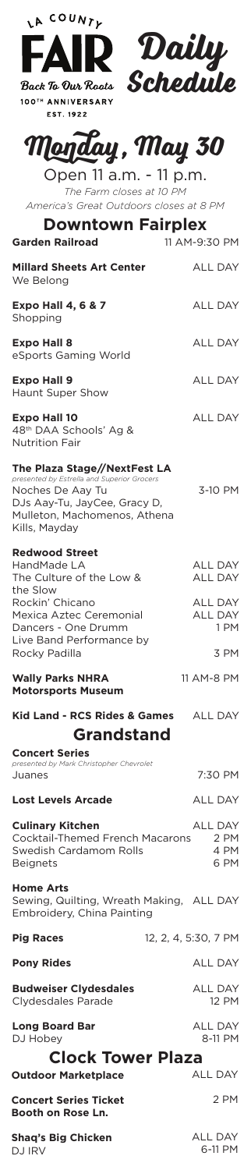| LA COUNTE<br>Daily<br>Schedule<br>FAIR .<br>Back To Our Roots<br>100TH ANNIVERSARY<br>EST. 1922                                                                                 |                                                                      |
|---------------------------------------------------------------------------------------------------------------------------------------------------------------------------------|----------------------------------------------------------------------|
| Monday, May 30<br>Open 11 a.m. - 11 p.m.<br>The Farm closes at 10 PM<br>America's Great Outdoors closes at 8 PM<br><b>Downtown Fairplex</b><br><b>Garden Railroad</b>           | 11 AM-9:30 PM                                                        |
| <b>Millard Sheets Art Center</b><br>We Belong                                                                                                                                   | <b>ALL DAY</b>                                                       |
| <b>Expo Hall 4, 6 &amp; 7</b><br>Shopping                                                                                                                                       | <b>ALL DAY</b>                                                       |
| <b>Expo Hall 8</b><br>eSports Gaming World                                                                                                                                      | <b>ALL DAY</b>                                                       |
| <b>Expo Hall 9</b><br>Haunt Super Show                                                                                                                                          | <b>ALL DAY</b>                                                       |
| <b>Expo Hall 10</b><br>48 <sup>th</sup> DAA Schools' Ag &<br><b>Nutrition Fair</b>                                                                                              | <b>ALL DAY</b>                                                       |
| The Plaza Stage//NextFest LA<br>presented by Estrella and Superior Grocers<br>Noches De Aay Tu<br>DJs Aay-Tu, JayCee, Gracy D,<br>Mulleton, Machomenos, Athena<br>Kills, Mayday | 3-10 PM                                                              |
| <b>Redwood Street</b><br>HandMade LA<br>The Culture of the Low &<br>the Slow<br>Rockin' Chicano<br>Mexica Aztec Ceremonial                                                      | <b>ALL DAY</b><br><b>ALL DAY</b><br><b>ALL DAY</b><br><b>ALL DAY</b> |
| Dancers - One Drumm<br>Live Band Performance by<br>Rocky Padilla                                                                                                                | 1 PM<br>3 PM                                                         |
| <b>Wally Parks NHRA</b><br><b>Motorsports Museum</b>                                                                                                                            | 11 AM-8 PM                                                           |
| Kid Land - RCS Rides & Games<br><b>Grandstand</b><br><b>Concert Series</b>                                                                                                      | ALL DAY                                                              |
| presented by Mark Christopher Chevrolet<br>Juanes                                                                                                                               | 7:30 PM                                                              |
| <b>Lost Levels Arcade</b>                                                                                                                                                       | <b>ALL DAY</b>                                                       |
| <b>Culinary Kitchen</b><br>Cocktail-Themed French Macarons<br>Swedish Cardamom Rolls<br><b>Beignets</b>                                                                         | <b>ALL DAY</b><br>2 PM<br>4 PM<br>6 PM                               |
| <b>Home Arts</b><br>Sewing, Quilting, Wreath Making, ALL DAY<br>Embroidery, China Painting                                                                                      |                                                                      |
| <b>Pig Races</b>                                                                                                                                                                | 12, 2, 4, 5:30, 7 PM                                                 |
| <b>Pony Rides</b>                                                                                                                                                               | <b>ALL DAY</b>                                                       |
| <b>Budweiser Clydesdales</b><br>Clydesdales Parade                                                                                                                              | <b>ALL DAY</b><br><b>12 PM</b>                                       |
| <b>Long Board Bar</b><br>DJ Hobev                                                                                                                                               | <b>ALL DAY</b><br>8-11 PM                                            |
| <b>Clock Tower Plaza</b><br><b>Outdoor Marketplace</b>                                                                                                                          | <b>ALL DAY</b>                                                       |
| <b>Concert Series Ticket</b><br>Booth on Rose Ln.                                                                                                                               | 2 PM                                                                 |

**Shaq's Big Chicken** DJ IRV

ALL DAY 6-11 PM